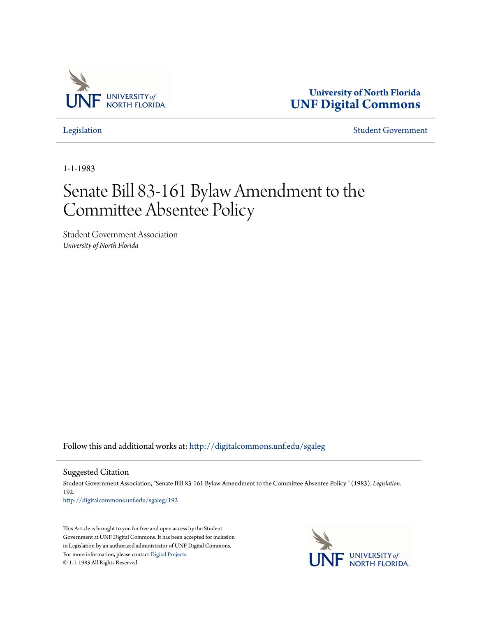

**University of North Florida [UNF Digital Commons](http://digitalcommons.unf.edu?utm_source=digitalcommons.unf.edu%2Fsgaleg%2F192&utm_medium=PDF&utm_campaign=PDFCoverPages)**

[Legislation](http://digitalcommons.unf.edu/sgaleg?utm_source=digitalcommons.unf.edu%2Fsgaleg%2F192&utm_medium=PDF&utm_campaign=PDFCoverPages) [Student Government](http://digitalcommons.unf.edu/sga?utm_source=digitalcommons.unf.edu%2Fsgaleg%2F192&utm_medium=PDF&utm_campaign=PDFCoverPages)

1-1-1983

## Senate Bill 83-161 Bylaw Amendment to the Committee Absentee Policy

Student Government Association *University of North Florida*

Follow this and additional works at: [http://digitalcommons.unf.edu/sgaleg](http://digitalcommons.unf.edu/sgaleg?utm_source=digitalcommons.unf.edu%2Fsgaleg%2F192&utm_medium=PDF&utm_campaign=PDFCoverPages)

Suggested Citation

Student Government Association, "Senate Bill 83-161 Bylaw Amendment to the Committee Absentee Policy " (1983). *Legislation*. 192.

[http://digitalcommons.unf.edu/sgaleg/192](http://digitalcommons.unf.edu/sgaleg/192?utm_source=digitalcommons.unf.edu%2Fsgaleg%2F192&utm_medium=PDF&utm_campaign=PDFCoverPages)

This Article is brought to you for free and open access by the Student Government at UNF Digital Commons. It has been accepted for inclusion in Legislation by an authorized administrator of UNF Digital Commons. For more information, please contact [Digital Projects](mailto:lib-digital@unf.edu). © 1-1-1983 All Rights Reserved